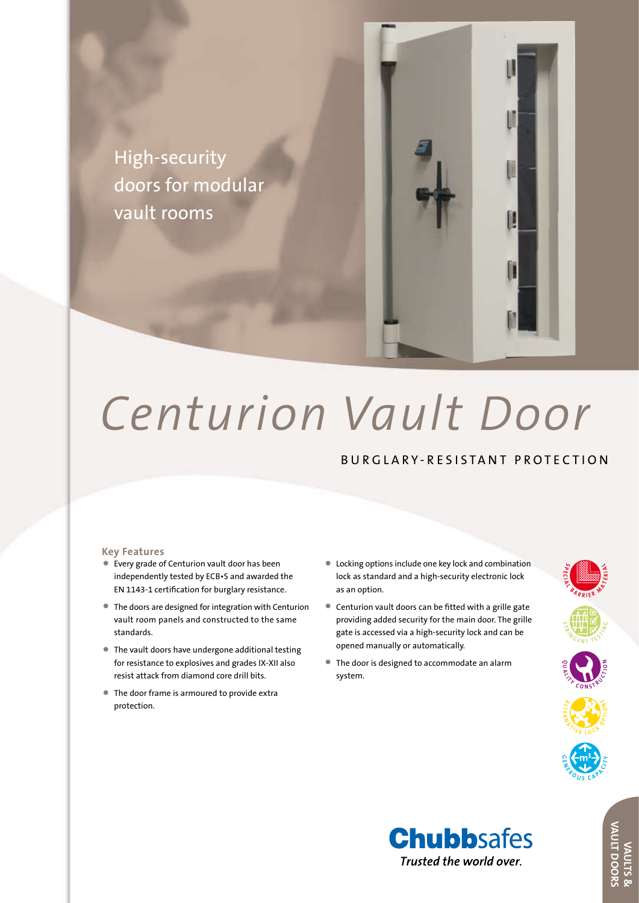

# *Centurion Vault Door*

## BURGLARY-RESISTANT PROTECTION

#### **Key Features**

- • Every grade of Centurion vault door has been independently tested by ECB•S and awarded the EN 1143-1 certification for burglary resistance.
- The doors are designed for integration with Centurion vault room panels and constructed to the same standards.
- The vault doors have undergone additional testing for resistance to explosives and grades IX-XII also resist attack from diamond core drill bits.
- The door frame is armoured to provide extra protection.
- • Locking options include one key lock and combination lock as standard and a high-security electronic lock as an option.
- • Centurion vault doors can be fitted with <sup>a</sup> grille gate providing added security for the main door. The grille gate is accessed via a high-security lock and can be opened manually or automatically.
- The door is designed to accommodate an alarm system.